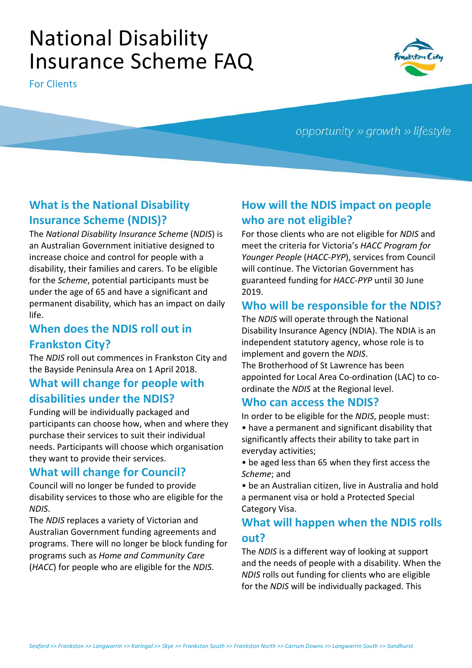# National Disability Insurance Scheme FAQ

For Clients



opportunity  $\gg$  growth  $\gg$  lifestyle

#### **What is the National Disability Insurance Scheme (NDIS)?**

The *National Disability Insurance Scheme* (*NDIS*) is an Australian Government initiative designed to increase choice and control for people with a disability, their families and carers. To be eligible for the *Scheme*, potential participants must be under the age of 65 and have a significant and permanent disability, which has an impact on daily life.

## **When does the NDIS roll out in Frankston City?**

The *NDIS* roll out commences in Frankston City and the Bayside Peninsula Area on 1 April 2018.

#### **What will change for people with disabilities under the NDIS?**

Funding will be individually packaged and participants can choose how, when and where they purchase their services to suit their individual needs. Participants will choose which organisation they want to provide their services.

#### **What will change for Council?**

Council will no longer be funded to provide disability services to those who are eligible for the *NDIS*.

The *NDIS* replaces a variety of Victorian and Australian Government funding agreements and programs. There will no longer be block funding for programs such as *Home and Community Care*  (*HACC*) for people who are eligible for the *NDIS*.

## **How will the NDIS impact on people who are not eligible?**

For those clients who are not eligible for *NDIS* and meet the criteria for Victoria's *HACC Program for Younger People* (*HACC-PYP*), services from Council will continue. The Victorian Government has guaranteed funding for *HACC-PYP* until 30 June 2019.

#### **Who will be responsible for the NDIS?**

The *NDIS* will operate through the National Disability Insurance Agency (NDIA). The NDIA is an independent statutory agency, whose role is to implement and govern the *NDIS*.

The Brotherhood of St Lawrence has been appointed for Local Area Co-ordination (LAC) to coordinate the *NDIS* at the Regional level.

#### **Who can access the NDIS?**

In order to be eligible for the *NDIS*, people must: • have a permanent and significant disability that significantly affects their ability to take part in everyday activities;

• be aged less than 65 when they first access the *Scheme*; and

• be an Australian citizen, live in Australia and hold a permanent visa or hold a Protected Special Category Visa.

#### **What will happen when the NDIS rolls out?**

The *NDIS* is a different way of looking at support and the needs of people with a disability. When the *NDIS* rolls out funding for clients who are eligible for the *NDIS* will be individually packaged. This